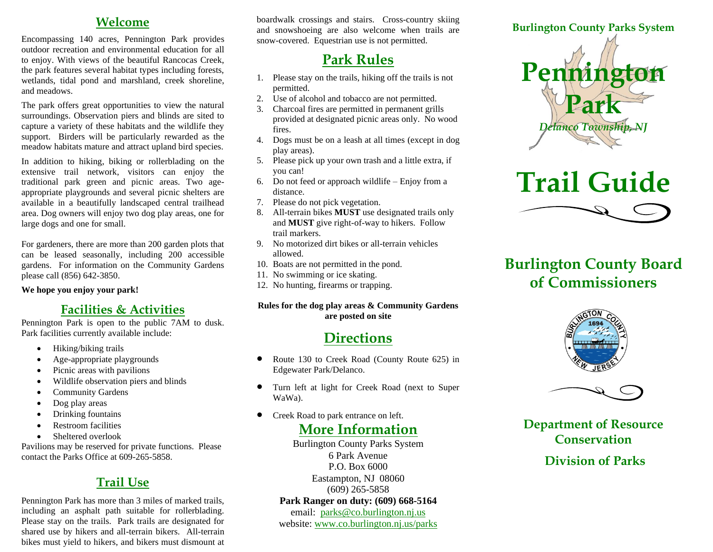#### **Welcome**

Encompassing 140 acres, Pennington Park provides outdoor recreation and environmental education for all to enjoy. With views of the beautiful Rancocas Creek, the park features several habitat types including forests, wetlands, tidal pond and marshland, creek shoreline, and meadows.

The park offers great opportunities to view the natural surroundings. Observation piers and blinds are sited to capture a variety of these habitats and the wildlife they support. Birders will be particularly rewarded as the meadow habitats mature and attract upland bird species.

In addition to hiking, biking or rollerblading on the extensive trail network, visitors can enjoy the traditional park green and picnic areas. Two ageappropriate playgrounds and several picnic shelters are available in a beautifully landscaped central trailhead area. Dog owners will enjoy two dog play areas, one for large dogs and one for small.

For gardeners, there are more than 200 garden plots that can be leased seasonally, including 200 accessible gardens. For information on the Community Gardens please call (856) 642-3850.

**We hope you enjoy your park!**

### **Facilities & Activities**

Pennington Park is open to the public 7AM to dusk. Park facilities currently available include:

- Hiking/biking trails
- Age-appropriate playgrounds
- Picnic areas with pavilions
- Wildlife observation piers and blinds
- Community Gardens
- Dog play areas
- Drinking fountains
- Restroom facilities
- Sheltered overlook

Pavilions may be reserved for private functions. Please contact the Parks Office at 609-265-5858.

# **Trail Use**

Pennington Park has more than 3 miles of marked trails, including an asphalt path suitable for rollerblading. Please stay on the trails. Park trails are designated for shared use by hikers and all-terrain bikers. All-terrain bikes must yield to hikers, and bikers must dismount at

boardwalk crossings and stairs. Cross-country skiing and snowshoeing are also welcome when trails are snow-covered. Equestrian use is not permitted.

# **Park Rules**

- 1. Please stay on the trails, hiking off the trails is not permitted.
- 2. Use of alcohol and tobacco are not permitted.
- 3. Charcoal fires are permitted in permanent grills provided at designated picnic areas only. No wood fires.
- 4. Dogs must be on a leash at all times (except in dog play areas).
- 5. Please pick up your own trash and a little extra, if you can!
- 6. Do not feed or approach wildlife Enjoy from a distance.
- 7. Please do not pick vegetation.
- 8. All-terrain bikes **MUST** use designated trails only and **MUST** give right-of-way to hikers. Follow trail markers.
- 9. No motorized dirt bikes or all-terrain vehicles allowed.
- 10. Boats are not permitted in the pond.
- 11. No swimming or ice skating.
- 12. No hunting, firearms or trapping.

#### **Rules for the dog play areas & Community Gardens are posted on site**

# **Directions**

- Route 130 to Creek Road (County Route 625) in Edgewater Park/Delanco.
- Turn left at light for Creek Road (next to Super WaWa).
- Creek Road to park entrance on left.

## **More Information**

Burlington County Parks System 6 Park Avenue P.O. Box 6000 Eastampton, NJ 08060 (609) 265-5858 **Park Ranger on duty: (609) 668-5164** email: [parks@co.burlington.nj.us](mailto:parks@co.burlington.nj.us) website: www.co.burlington.nj.us/parks



# **Trail Guide**



# **Burlington County Board of Commissioners**





**Department of Resource Conservation**

### **Division of Parks**